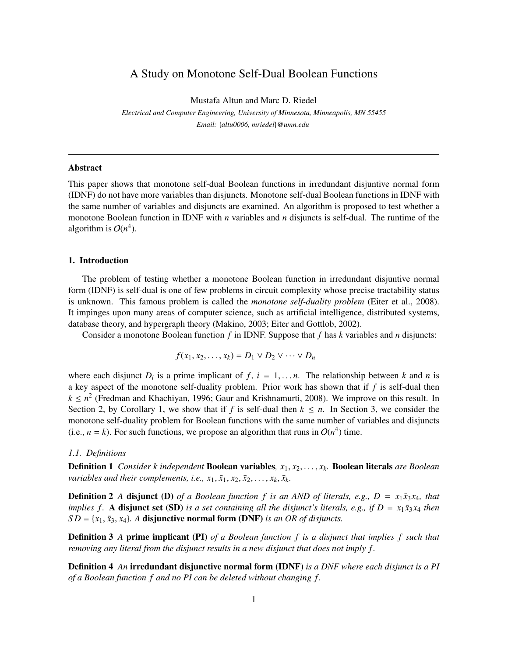# A Study on Monotone Self-Dual Boolean Functions

Mustafa Altun and Marc D. Riedel

*Electrical and Computer Engineering, University of Minnesota, Minneapolis, MN 55455 Email:* {*altu0006, mriedel*}*@umn.edu*

# Abstract

This paper shows that monotone self-dual Boolean functions in irredundant disjuntive normal form (IDNF) do not have more variables than disjuncts. Monotone self-dual Boolean functions in IDNF with the same number of variables and disjuncts are examined. An algorithm is proposed to test whether a monotone Boolean function in IDNF with *n* variables and *n* disjuncts is self-dual. The runtime of the algorithm is  $O(n^4)$ .

### 1. Introduction

The problem of testing whether a monotone Boolean function in irredundant disjuntive normal form (IDNF) is self-dual is one of few problems in circuit complexity whose precise tractability status is unknown. This famous problem is called the *monotone self-duality problem* (Eiter et al., 2008). It impinges upon many areas of computer science, such as artificial intelligence, distributed systems, database theory, and hypergraph theory (Makino, 2003; Eiter and Gottlob, 2002).

Consider a monotone Boolean function *f* in IDNF. Suppose that *f* has *k* variables and *n* disjuncts:

$$
f(x_1, x_2, \ldots, x_k) = D_1 \vee D_2 \vee \cdots \vee D_n
$$

where each disjunct  $D_i$  is a prime implicant of  $f$ ,  $i = 1,...n$ . The relationship between k and n is a key aspect of the monotone self-duality problem. Prior work has shown that if *f* is self-dual then  $k \leq n^2$  (Fredman and Khachiyan, 1996; Gaur and Krishnamurti, 2008). We improve on this result. In Section 2, by Corollary 1, we show that if *f* is self-dual then  $k \leq n$ . In Section 3, we consider the monotone self-duality problem for Boolean functions with the same number of variables and disjuncts (i.e.,  $n = k$ ). For such functions, we propose an algorithm that runs in  $O(n^4)$  time.

#### *1.1. Definitions*

Definition 1 *Consider k independent* Boolean variables*, x*1, *x*2,..., *xk.* Boolean literals *are Boolean variables and their complements, i.e.,*  $x_1, \overline{x}_1, x_2, \overline{x}_2, \ldots, x_k, \overline{x}_k$ .

**Definition 2** *A* disjunct (D) of a Boolean function f is an AND of literals, e.g.,  $D = x_1 \bar{x}_3 x_4$ , that *implies f.* A disjunct set (SD) *is a set containing all the disjunct's literals, e.g., if*  $D = x_1 \bar{x}_3 x_4$  *then*  $SD = \{x_1, \bar{x}_3, x_4\}$ . A disjunctive normal form (DNF) *is an OR of disjuncts*.

Definition 3 *A* prime implicant (PI) *of a Boolean function f is a disjunct that implies f such that removing any literal from the disjunct results in a new disjunct that does not imply f .*

Definition 4 *An* irredundant disjunctive normal form (IDNF) *is a DNF where each disjunct is a PI of a Boolean function f and no PI can be deleted without changing f .*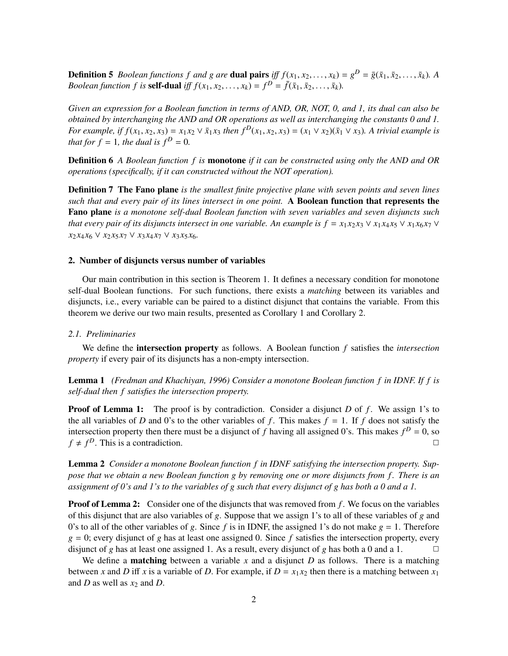**Definition 5** *Boolean functions f and g are* **dual pairs** *iff*  $f(x_1, x_2, ..., x_k) = g^D = \overline{g}(\overline{x}_1, \overline{x}_2, ..., \overline{x}_k)$ *. A Boolean function f is* **self-dual** *iff*  $f(x_1, x_2, \ldots, x_k) = f^D = \overline{f}(\overline{x}_1, \overline{x}_2, \ldots, \overline{x}_k)$ .

*Given an expression for a Boolean function in terms of AND, OR, NOT, 0, and 1, its dual can also be obtained by interchanging the AND and OR operations as well as interchanging the constants 0 and 1.* For example, if  $f(x_1, x_2, x_3) = x_1x_2 \vee \overline{x}_1x_3$  then  $f^D(x_1, x_2, x_3) = (x_1 \vee x_2)(\overline{x}_1 \vee x_3)$ . A trivial example is *that for f* = 1*, the dual is f*<sup> $D$ </sup> = 0*.* 

Definition 6 *A Boolean function f is* monotone *if it can be constructed using only the AND and OR operations (specifically, if it can constructed without the NOT operation).*

Definition 7 The Fano plane *is the smallest finite projective plane with seven points and seven lines such that and every pair of its lines intersect in one point.* A Boolean function that represents the Fano plane *is a monotone self-dual Boolean function with seven variables and seven disjuncts such that every pair of its disjuncts intersect in one variable. An example is*  $f = x_1 x_2 x_3 \vee x_1 x_4 x_5 \vee x_1 x_6 x_7 \vee x_1 x_6 x_7$  $x_2 x_4 x_6 \vee x_2 x_5 x_7 \vee x_3 x_4 x_7 \vee x_3 x_5 x_6$ .

## 2. Number of disjuncts versus number of variables

Our main contribution in this section is Theorem 1. It defines a necessary condition for monotone self-dual Boolean functions. For such functions, there exists a *matching* between its variables and disjuncts, i.e., every variable can be paired to a distinct disjunct that contains the variable. From this theorem we derive our two main results, presented as Corollary 1 and Corollary 2.

#### *2.1. Preliminaries*

We define the intersection property as follows. A Boolean function *f* satisfies the *intersection property* if every pair of its disjuncts has a non-empty intersection.

Lemma 1 *(Fredman and Khachiyan, 1996) Consider a monotone Boolean function f in IDNF. If f is self-dual then f satisfies the intersection property.*

**Proof of Lemma 1:** The proof is by contradiction. Consider a disjunct *D* of *f*. We assign 1's to the all variables of *D* and 0's to the other variables of *f*. This makes  $f = 1$ . If *f* does not satisfy the intersection property then there must be a disjunct of f having all assigned 0's. This makes  $f^D = 0$ , so  $f \neq f^D$ . This is a contradiction.

Lemma 2 *Consider a monotone Boolean function f in IDNF satisfying the intersection property. Suppose that we obtain a new Boolean function g by removing one or more disjuncts from f . There is an assignment of 0's and 1's to the variables of g such that every disjunct of g has both a 0 and a 1.*

**Proof of Lemma 2:** Consider one of the disjuncts that was removed from f. We focus on the variables of this disjunct that are also variables of *g*. Suppose that we assign 1's to all of these variables of *g* and 0's to all of the other variables of *g*. Since *f* is in IDNF, the assigned 1's do not make  $g = 1$ . Therefore  $g = 0$ ; every disjunct of *g* has at least one assigned 0. Since *f* satisfies the intersection property, every disjunct of *g* has at least one assigned 1. As a result, every disjunct of *g* has both a 0 and a 1.  $\Box$ 

We define a **matching** between a variable x and a disjunct D as follows. There is a matching between *x* and *D* iff *x* is a variable of *D*. For example, if  $D = x_1 x_2$  then there is a matching between  $x_1$ and *D* as well as *x*<sup>2</sup> and *D*.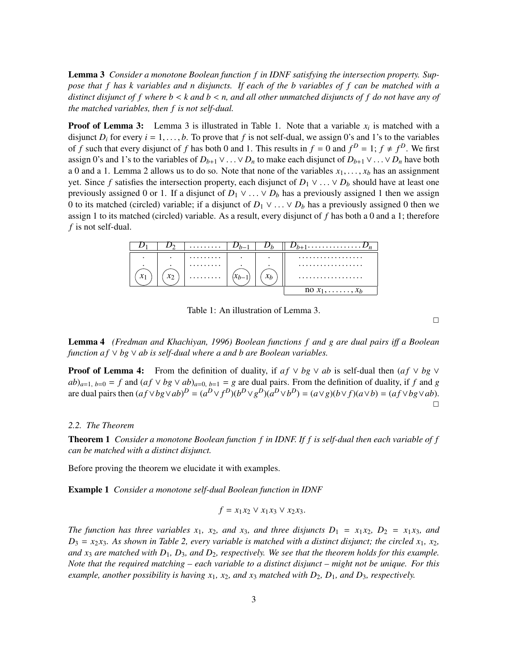Lemma 3 *Consider a monotone Boolean function f in IDNF satisfying the intersection property. Suppose that f has k variables and n disjuncts. If each of the b variables of f can be matched with a distinct disjunct of f where b* < *k and b* < *n, and all other unmatched disjuncts of f do not have any of the matched variables, then f is not self-dual.*

**Proof of Lemma 3:** Lemma 3 is illustrated in Table 1. Note that a variable  $x_i$  is matched with a disjunct  $D_i$  for every  $i = 1, \ldots, b$ . To prove that f is not self-dual, we assign 0's and 1's to the variables of *f* such that every disjunct of *f* has both 0 and 1. This results in  $f = 0$  and  $f^D = 1$ ;  $f \neq f^D$ . We first assign 0's and 1's to the variables of  $D_{b+1} \vee ... \vee D_n$  to make each disjunct of  $D_{b+1} \vee ... \vee D_n$  have both a 0 and a 1. Lemma 2 allows us to do so. Note that none of the variables  $x_1, \ldots, x_b$  has an assignment yet. Since f satisfies the intersection property, each disjunct of  $D_1 \vee \ldots \vee D_b$  should have at least one previously assigned 0 or 1. If a disjunct of  $D_1 \vee ... \vee D_b$  has a previously assigned 1 then we assign 0 to its matched (circled) variable; if a disjunct of  $D_1 \vee ... \vee D_b$  has a previously assigned 0 then we assign 1 to its matched (circled) variable. As a result, every disjunct of *f* has both a 0 and a 1; therefore *f* is not self-dual.



Table 1: An illustration of Lemma 3.

 $\Box$ 

**Lemma 4** *(Fredman and Khachiyan, 1996) Boolean functions f and g are dual pairs iff a Boolean function af*  $\vee$  *bg*  $\vee$  *ab is self-dual where a and b are Boolean variables.* 

**Proof of Lemma 4:** From the definition of duality, if  $af \vee bg \vee ab$  is self-dual then  $(af \vee bg \vee$  $ab)_{a=1, b=0} = f$  and  $(af \vee bg \vee ab)_{a=0, b=1} = g$  are dual pairs. From the definition of duality, if *f* and *g* are dual pairs then  $(af \lor bg \lor ab)^D = (a^D \lor f^D)(b^D \lor g^D)(a^D \lor b^D) = (a \lor g)(b \lor f)(a \lor b) = (af \lor bg \lor ab)$ .  $\Box$ 

### *2.2. The Theorem*

Theorem 1 *Consider a monotone Boolean function f in IDNF. If f is self-dual then each variable of f can be matched with a distinct disjunct.*

Before proving the theorem we elucidate it with examples.

Example 1 *Consider a monotone self-dual Boolean function in IDNF*

$$
f = x_1 x_2 \vee x_1 x_3 \vee x_2 x_3.
$$

*The function has three variables*  $x_1$ *,*  $x_2$ *, and*  $x_3$ *, and three disjuncts*  $D_1 = x_1x_2$ *,*  $D_2 = x_1x_3$ *, and*  $D_3 = x_2 x_3$ . As shown in Table 2, every variable is matched with a distinct disjunct; the circled  $x_1, x_2$ , *and x*<sup>3</sup> *are matched with D*1*, D*3*, and D*2*, respectively. We see that the theorem holds for this example. Note that the required matching – each variable to a distinct disjunct – might not be unique. For this example, another possibility is having x*1*, x*2*, and x*<sup>3</sup> *matched with D*2*, D*1*, and D*3*, respectively.*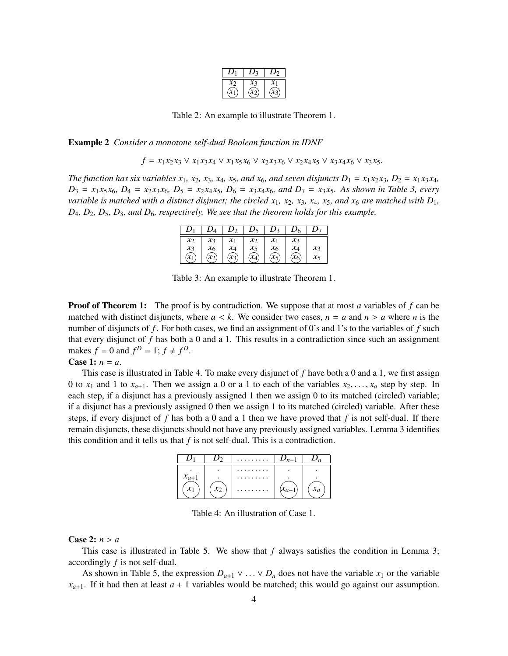Table 2: An example to illustrate Theorem 1.

Example 2 *Consider a monotone self-dual Boolean function in IDNF*

*f* =  $x_1 x_2 x_3 \vee x_1 x_3 x_4 \vee x_1 x_5 x_6 \vee x_2 x_3 x_6 \vee x_2 x_4 x_5 \vee x_3 x_4 x_6 \vee x_3 x_5.$ 

*The function has six variables*  $x_1$ *,*  $x_2$ *,*  $x_3$ *,*  $x_4$ *,*  $x_5$ *, and*  $x_6$ *, and seven disjuncts*  $D_1 = x_1x_2x_3$ *,*  $D_2 = x_1x_3x_4$ *,*  $D_3 = x_1x_5x_6$ ,  $D_4 = x_2x_3x_6$ ,  $D_5 = x_2x_4x_5$ ,  $D_6 = x_3x_4x_6$ , and  $D_7 = x_3x_5$ . As shown in Table 3, every *variable is matched with a distinct disjunct; the circled*  $x_1$ *,*  $x_2$ *,*  $x_3$ *,*  $x_4$ *,*  $x_5$ *, and*  $x_6$  *are matched with*  $D_1$ *, D*4*, D*2*, D*5*, D*3*, and D*6*, respectively. We see that the theorem holds for this example.*

|               | $D_4$              | $D_2$           | $D_5$           | $D_3$           |                 |       |
|---------------|--------------------|-----------------|-----------------|-----------------|-----------------|-------|
| $\mathcal{X}$ | $x_3$              | $\mathcal{X}_1$ | $\mathcal{X}$   | $\mathcal{X}_1$ | $\chi_3$        |       |
| $x_3$         |                    | $x_4$           | $x_5$           |                 | $x_4$           | $x_3$ |
|               | $\widehat{\kappa}$ | $\widehat{x_3}$ | $\widehat{x_4}$ | $\lambda$       | $\widehat{x_6}$ | $x_5$ |

Table 3: An example to illustrate Theorem 1.

**Proof of Theorem 1:** The proof is by contradiction. We suppose that at most *a* variables of *f* can be matched with distinct disjuncts, where  $a < k$ . We consider two cases,  $n = a$  and  $n > a$  where *n* is the number of disjuncts of *f* . For both cases, we find an assignment of 0's and 1's to the variables of *f* such that every disjunct of *f* has both a 0 and a 1. This results in a contradiction since such an assignment makes  $f = 0$  and  $f^D = 1$ ;  $f \neq f^D$ .

# **Case 1:**  $n = a$ .

This case is illustrated in Table 4. To make every disjunct of *f* have both a 0 and a 1, we first assign 0 to  $x_1$  and 1 to  $x_{a+1}$ . Then we assign a 0 or a 1 to each of the variables  $x_2, \ldots, x_a$  step by step. In each step, if a disjunct has a previously assigned 1 then we assign 0 to its matched (circled) variable; if a disjunct has a previously assigned 0 then we assign 1 to its matched (circled) variable. After these steps, if every disjunct of  $f$  has both a 0 and a 1 then we have proved that  $f$  is not self-dual. If there remain disjuncts, these disjuncts should not have any previously assigned variables. Lemma 3 identifies this condition and it tells us that  $f$  is not self-dual. This is a contradiction.



Table 4: An illustration of Case 1.

### Case 2:  $n > a$

This case is illustrated in Table 5. We show that *f* always satisfies the condition in Lemma 3; accordingly *f* is not self-dual.

As shown in Table 5, the expression  $D_{a+1} \vee ... \vee D_n$  does not have the variable  $x_1$  or the variable  $x_{a+1}$ . If it had then at least  $a + 1$  variables would be matched; this would go against our assumption.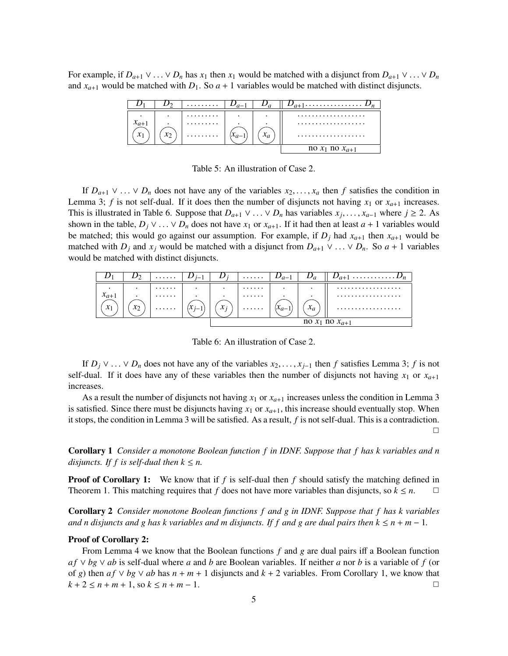For example, if  $D_{a+1} \vee ... \vee D_n$  has  $x_1$  then  $x_1$  would be matched with a disjunct from  $D_{a+1} \vee ... \vee D_n$ and  $x_{a+1}$  would be matched with  $D_1$ . So  $a + 1$  variables would be matched with distinct disjuncts.

|           |       | . |                     |                       |
|-----------|-------|---|---------------------|-----------------------|
| $\bullet$ | ٠     | . | $\hat{\phantom{a}}$ | .                     |
| $x_{a+1}$ |       | . |                     | .                     |
|           | $x_2$ | . | $x_a$               | .                     |
|           |       |   |                     | no $x_1$ no $x_{a+1}$ |

Table 5: An illustration of Case 2.

If  $D_{a+1} \vee \ldots \vee D_n$  does not have any of the variables  $x_2, \ldots, x_a$  then *f* satisfies the condition in Lemma 3; *f* is not self-dual. If it does then the number of disjuncts not having  $x_1$  or  $x_{a+1}$  increases. This is illustrated in Table 6. Suppose that  $D_{a+1} \vee \ldots \vee D_n$  has variables  $x_j, \ldots, x_{a-1}$  where  $j \ge 2$ . As shown in the table,  $D_j \vee \ldots \vee D_n$  does not have  $x_1$  or  $x_{a+1}$ . If it had then at least  $a + 1$  variables would be matched; this would go against our assumption. For example, if  $D_j$  had  $x_{a+1}$  then  $x_{a+1}$  would be matched with *D<sub>j</sub>* and *x<sub>j</sub>* would be matched with a disjunct from  $D_{a+1} \vee \ldots \vee D_n$ . So  $a + 1$  variables would be matched with distinct disjuncts.



Table 6: An illustration of Case 2.

If  $D_j \vee ... \vee D_n$  does not have any of the variables  $x_2,..., x_{j-1}$  then *f* satisfies Lemma 3; *f* is not self-dual. If it does have any of these variables then the number of disjuncts not having  $x_1$  or  $x_{a+1}$ increases.

As a result the number of disjuncts not having  $x_1$  or  $x_{a+1}$  increases unless the condition in Lemma 3 is satisfied. Since there must be disjuncts having  $x_1$  or  $x_{a+1}$ , this increase should eventually stop. When it stops, the condition in Lemma 3 will be satisfied. As a result, *f* is not self-dual. This is a contradiction.  $\Box$ 

Corollary 1 *Consider a monotone Boolean function f in IDNF. Suppose that f has k variables and n disjuncts. If f is self-dual then*  $k \leq n$ .

**Proof of Corollary 1:** We know that if f is self-dual then f should satisfy the matching defined in Theorem 1. This matching requires that *f* does not have more variables than disjuncts, so  $k \leq n$ .

Corollary 2 *Consider monotone Boolean functions f and g in IDNF. Suppose that f has k variables and n disjuncts and g has k variables and m disjuncts. If f and g are dual pairs then*  $k \leq n + m - 1$ *.* 

#### Proof of Corollary 2:

From Lemma 4 we know that the Boolean functions  $f$  and  $g$  are dual pairs iff a Boolean function  $af \vee bg \vee ab$  is self-dual where *a* and *b* are Boolean variables. If neither *a* nor *b* is a variable of *f* (or of *g*) then  $af \vee bg \vee ab$  has  $n + m + 1$  disjuncts and  $k + 2$  variables. From Corollary 1, we know that  $k + 2 \le n + m + 1$ , so  $k \le n + m - 1$ .  $k + 2 \le n + m + 1$ , so  $k \le n + m - 1$ .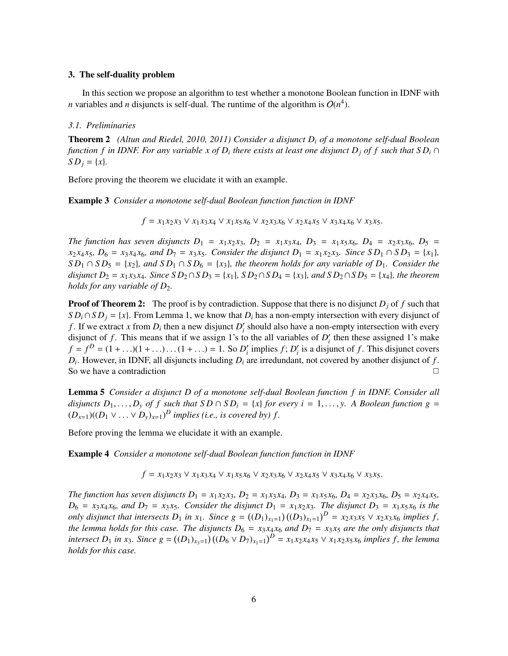### 3. The self-duality problem

In this section we propose an algorithm to test whether a monotone Boolean function in IDNF with *n* variables and *n* disjuncts is self-dual. The runtime of the algorithm is  $O(n^4)$ .

### *3.1. Preliminaries*

Theorem 2 *(Altun and Riedel, 2010, 2011) Consider a disjunct Di of a monotone self-dual Boolean function f in IDNF. For any variable x of D<sub>i</sub> there exists at least one disjunct D<sub>i</sub> of f such that*  $SD_i \cap$ *SD<sub>j</sub>* = {*x*}*.* 

Before proving the theorem we elucidate it with an example.

Example 3 *Consider a monotone self-dual Boolean function function in IDNF*

 $f = x_1 x_2 x_3 \vee x_1 x_3 x_4 \vee x_1 x_5 x_6 \vee x_2 x_3 x_6 \vee x_2 x_4 x_5 \vee x_3 x_4 x_6 \vee x_3 x_5.$ 

*The function has seven disjuncts*  $D_1 = x_1 x_2 x_3$ ,  $D_2 = x_1 x_3 x_4$ ,  $D_3 = x_1 x_5 x_6$ ,  $D_4 = x_2 x_3 x_6$ ,  $D_5 = x_1 x_5 x_6$  $x_2x_4x_5$ ,  $D_6 = x_3x_4x_6$ , and  $D_7 = x_3x_5$ . Consider the disjunct  $D_1 = x_1x_2x_3$ . Since  $SD_1 \cap SD_3 = \{x_1\}$ ,  $SD_1 \cap SD_5 = \{x_2\}$ , and  $SD_1 \cap SD_6 = \{x_3\}$ , the theorem holds for any variable of  $D_1$ . Consider the *disjunct*  $D_2 = x_1 x_3 x_4$ *. Since*  $S D_2 \cap S D_3 = \{x_1\}$ *,*  $S D_2 \cap S D_4 = \{x_3\}$ *<i>, and*  $S D_2 \cap S D_5 = \{x_4\}$ *, the theorem holds for any variable of D*<sub>2</sub>*.* 

**Proof of Theorem 2:** The proof is by contradiction. Suppose that there is no disjunct  $D_j$  of f such that  $SD_i \cap SD_j = \{x\}$ . From Lemma 1, we know that  $D_i$  has a non-empty intersection with every disjunct of *f*. If we extract *x* from  $D_i$  then a new disjunct  $D'_i$  should also have a non-empty intersection with every disjunct of *f*. This means that if we assign 1's to the all variables of  $D_i'$  then these assigned 1's make  $f = f^D = (1 + ...)(1 + ...)\dots(1 + ...)$  = 1. So *D'<sub>i</sub>* implies *f*; *D'<sub>i</sub>* is a disjunct of *f*. This disjunct covers  $D_i$ . However, in IDNF, all disjuncts including  $D_i$  are irredundant, not covered by another disjunct of  $f$ . So we have a contradiction  $\Box$ 

Lemma 5 *Consider a disjunct D of a monotone self-dual Boolean function f in IDNF. Consider all disjuncts*  $D_1, \ldots, D_v$  *of f such that*  $SD \cap SD_i = \{x\}$  *for every i* = 1,..., *y.* A Boolean function g =  $(D_{x=1})((D_1 \vee \ldots \vee D_y)_{x=1})^D$  *implies (i.e., is covered by) f.* 

Before proving the lemma we elucidate it with an example.

Example 4 *Consider a monotone self-dual Boolean function function in IDNF*

 $f = x_1 x_2 x_3 \vee x_1 x_3 x_4 \vee x_1 x_5 x_6 \vee x_2 x_3 x_6 \vee x_2 x_4 x_5 \vee x_3 x_4 x_6 \vee x_3 x_5.$ 

The function has seven disjuncts  $D_1 = x_1x_2x_3$ ,  $D_2 = x_1x_3x_4$ ,  $D_3 = x_1x_5x_6$ ,  $D_4 = x_2x_3x_6$ ,  $D_5 = x_2x_4x_5$ ,  $D_6 = x_3 x_4 x_6$ , and  $D_7 = x_3 x_5$ . Consider the disjunct  $D_1 = x_1 x_2 x_3$ . The disjunct  $D_3 = x_1 x_5 x_6$  is the *only disjunct that intersects*  $D_1$  *in*  $x_1$ *. Since*  $g = ((D_1)_{x_1=1})((D_3)_{x_1=1})^D = x_2x_3x_5 \vee x_2x_3x_6$  *implies* f, *the lemma holds for this case. The disjuncts*  $D_6 = x_3x_4x_6$  *and*  $D_7 = x_3x_5$  *are the only disjuncts that* intersect  $D_1$  in x<sub>3</sub>. Since  $g = ((D_1)_{x_3=1}) ((D_6 \vee D_7)_{x_1=1})^D = x_1 x_2 x_4 x_5 \vee x_1 x_2 x_5 x_6$  implies f, the lemma *holds for this case.*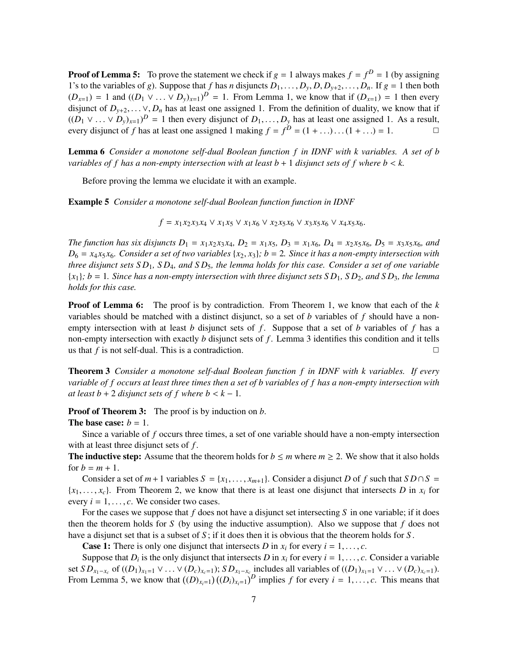**Proof of Lemma 5:** To prove the statement we check if  $g = 1$  always makes  $f = f^D = 1$  (by assigning 1's to the variables of *g*). Suppose that *f* has *n* disjuncts  $D_1, \ldots, D_y, D, D_{y+2}, \ldots, D_n$ . If  $g = 1$  then both  $(D_{x=1}) = 1$  and  $((D_1 \vee \ldots \vee D_y)_{x=1})^D = 1$ . From Lemma 1, we know that if  $(D_{x=1}) = 1$  then every disjunct of  $D_{y+2}, \ldots \vee, D_n$  has at least one assigned 1. From the definition of duality, we know that if  $((D_1 \vee \ldots \vee D_y)_{x=1})^D = 1$  then every disjunct of  $D_1, \ldots, D_y$  has at least one assigned 1. As a result, every disjunct of *f* has at least one assigned 1 making  $f = f^D = (1 + ...)...(1 + ...) = 1.$ 

Lemma 6 *Consider a monotone self-dual Boolean function f in IDNF with k variables. A set of b variables of f has a non-empty intersection with at least*  $b + 1$  *disjunct sets of f where*  $b < k$ *.* 

Before proving the lemma we elucidate it with an example.

Example 5 *Consider a monotone self-dual Boolean function function in IDNF*

$$
f = x_1 x_2 x_3 x_4 \vee x_1 x_5 \vee x_1 x_6 \vee x_2 x_5 x_6 \vee x_3 x_5 x_6 \vee x_4 x_5 x_6.
$$

The function has six disjuncts  $D_1 = x_1x_2x_3x_4$ ,  $D_2 = x_1x_5$ ,  $D_3 = x_1x_6$ ,  $D_4 = x_2x_5x_6$ ,  $D_5 = x_3x_5x_6$ , and  $D_6 = x_4x_5x_6$ . Consider a set of two variables  $\{x_2, x_3\}$ ;  $b = 2$ . Since it has a non-empty intersection with *three disjunct sets S D*1*, SD*4*, and S D*5*, the lemma holds for this case. Consider a set of one variable*  ${x_1}$ *; b* = 1*. Since has a non-empty intersection with three disjunct sets S D<sub>1</sub>, S D<sub>2</sub>, and S D<sub>3</sub>, the lemma holds for this case.*

**Proof of Lemma 6:** The proof is by contradiction. From Theorem 1, we know that each of the *k* variables should be matched with a distinct disjunct, so a set of *b* variables of *f* should have a nonempty intersection with at least *b* disjunct sets of *f* . Suppose that a set of *b* variables of *f* has a non-empty intersection with exactly *b* disjunct sets of *f* . Lemma 3 identifies this condition and it tells us that *f* is not self-dual. This is a contradiction.  $\Box$ 

Theorem 3 *Consider a monotone self-dual Boolean function f in IDNF with k variables. If every variable of f occurs at least three times then a set of b variables of f has a non-empty intersection with at least b* + 2 *disjunct sets of f where b* <  $k - 1$ *.* 

Proof of Theorem 3: The proof is by induction on *b*.

# The base case:  $b = 1$ .

Since a variable of *f* occurs three times, a set of one variable should have a non-empty intersection with at least three disjunct sets of *f* .

The inductive step: Assume that the theorem holds for  $b \le m$  where  $m \ge 2$ . We show that it also holds for  $b = m + 1$ .

Consider a set of  $m+1$  variables  $S = \{x_1, \ldots, x_{m+1}\}\)$ . Consider a disjunct *D* of *f* such that  $S D \cap S =$  ${x_1, \ldots, x_c}$ . From Theorem 2, we know that there is at least one disjunct that intersects *D* in  $x_i$  for every  $i = 1, \ldots, c$ . We consider two cases.

For the cases we suppose that *f* does not have a disjunct set intersecting *S* in one variable; if it does then the theorem holds for *S* (by using the inductive assumption). Also we suppose that *f* does not have a disjunct set that is a subset of *S* ; if it does then it is obvious that the theorem holds for *S* .

**Case 1:** There is only one disjunct that intersects *D* in  $x_i$  for every  $i = 1, \ldots, c$ .

Suppose that  $D_i$  is the only disjunct that intersects  $D$  in  $x_i$  for every  $i = 1, \ldots, c$ . Consider a variable set  $SD_{x_1-x_c}$  of  $((D_1)_{x_1=1} \vee ... \vee (D_c)_{x_c=1})$ ;  $SD_{x_1-x_c}$  includes all variables of  $((D_1)_{x_1=1} \vee ... \vee (D_c)_{x_c=1})$ . From Lemma 5, we know that  $((D)_{x_i=1})((D_i)_{x_i=1})^D$  implies f for every  $i = 1, \ldots, c$ . This means that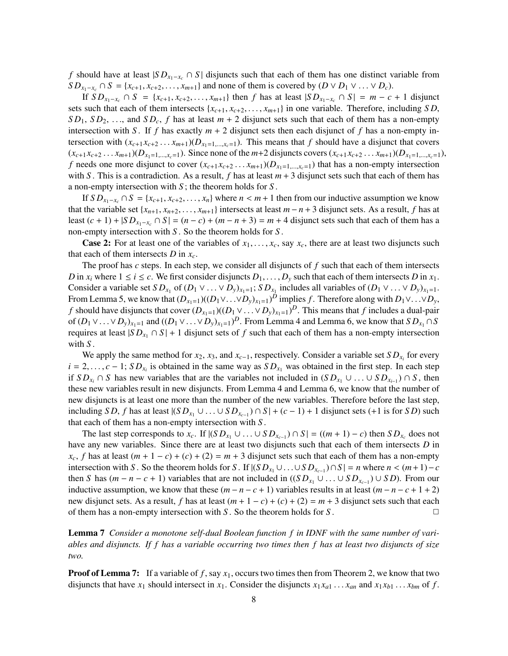*f* should have at least  $|SD_{x_1-x_c} \cap S|$  disjuncts such that each of them has one distinct variable from  $SD_{x_1-x_c} \cap S = \{x_{c+1}, x_{c+2}, \ldots, x_{m+1}\}\$  and none of them is covered by  $(D \vee D_1 \vee \ldots \vee D_c)$ .

If  $SD_{x_1-x_c} \cap S = \{x_{c+1}, x_{c+2},..., x_{m+1}\}\$ then *f* has at least  $|SD_{x_1-x_c} \cap S| = m - c + 1$  disjunct sets such that each of them intersects  $\{x_{c+1}, x_{c+2}, \ldots, x_{m+1}\}$  in one variable. Therefore, including *SD*,  $SD_1$ ,  $SD_2$ , ..., and  $SD_c$ , *f* has at least  $m + 2$  disjunct sets such that each of them has a non-empty intersection with *S*. If *f* has exactly  $m + 2$  disjunct sets then each disjunct of *f* has a non-empty intersection with  $(x_{c+1}x_{c+2} \ldots x_{m+1})(D_{x_1=1,\ldots,x_c=1})$ . This means that *f* should have a disjunct that covers  $(x_{c+1}x_{c+2}...x_{m+1})(D_{x_1=1,\dots,x_c=1})$ . Since none of the  $m+2$  disjuncts covers  $(x_{c+1}x_{c+2}...x_{m+1})(D_{x_1=1,\dots,x_c=1})$ , *f* needs one more disjunct to cover  $(x_{c+1}x_{c+2} \ldots x_{m+1})(D_{x_1=1,\ldots,x_{c}=1})$  that has a non-empty intersection with *S*. This is a contradiction. As a result, f has at least  $m + 3$  disjunct sets such that each of them has a non-empty intersection with *S* ; the theorem holds for *S* .

If  $SD_{x_1-x_c} \cap S = \{x_{c+1}, x_{c+2}, \ldots, x_n\}$  where  $n < m+1$  then from our inductive assumption we know that the variable set  $\{x_{n+1}, x_{n+2}, \ldots, x_{m+1}\}$  intersects at least  $m - n + 3$  disjunct sets. As a result, *f* has at least  $(c + 1) + |SD_{x_1-x_c} \cap S| = (n - c) + (m - n + 3) = m + 4$  disjunct sets such that each of them has a non-empty intersection with *S* . So the theorem holds for *S* .

**Case 2:** For at least one of the variables of  $x_1, \ldots, x_c$ , say  $x_c$ , there are at least two disjuncts such that each of them intersects  $D$  in  $x_c$ .

The proof has *c* steps. In each step, we consider all disjuncts of *f* such that each of them intersects *D* in  $x_i$  where  $1 \le i \le c$ . We first consider disjuncts  $D_1, \ldots, D_y$  such that each of them intersects *D* in  $x_1$ . Consider a variable set  $SD_{x_1}$  of  $(D_1 \vee ... \vee D_y)_{x_1=1}$ ;  $SD_{x_1}$  includes all variables of  $(D_1 \vee ... \vee D_y)_{x_1=1}$ . From Lemma 5, we know that  $(D_{x_1=1})((D_1 \vee \ldots \vee D_y)_{x_1=1})^D$  implies *f* . Therefore along with  $D_1 \vee \ldots \vee D_y$ , *f* should have disjuncts that cover  $(D_{x_1=1})((D_1 \vee \ldots \vee D_y)_{x_1=1})^D$ . This means that *f* includes a dual-pair of  $(D_1 \vee ... \vee D_y)_{x_1=1}$  and  $((D_1 \vee ... \vee D_y)_{x_1=1})^D$ . From Lemma 4 and Lemma 6, we know that  $S D_{x_1} \cap S$ requires at least  $|SD_{x_1} \cap S| + 1$  disjunct sets of f such that each of them has a non-empty intersection with *S* .

We apply the same method for  $x_2$ ,  $x_3$ , and  $x_{c-1}$ , respectively. Consider a variable set  $SD_{x_i}$  for every  $i = 2, \ldots, c - 1$ ;  $SD_{x_i}$  is obtained in the same way as  $SD_{x_1}$  was obtained in the first step. In each step if  $SD_{x_i} \cap S$  has new variables that are the variables not included in  $(SD_{x_1} \cup ... \cup SD_{x_{i-1}}) \cap S$ , then these new variables result in new disjuncts. From Lemma 4 and Lemma 6, we know that the number of new disjuncts is at least one more than the number of the new variables. Therefore before the last step, including *S D*, *f* has at least  $|(SD_{x_1} \cup ... \cup SD_{x_{c-1}}) \cap S| + (c-1) + 1$  disjunct sets (+1 is for *S D*) such that each of them has a non-empty intersection with *S* .

The last step corresponds to  $x_c$ . If  $|(SD_{x_1} \cup ... \cup SD_{x_{c-1}}) \cap S| = ((m + 1) - c)$  then  $SD_{x_c}$  does not have any new variables. Since there are at least two disjuncts such that each of them intersects *D* in  $x_c$ , f has at least  $(m + 1 - c) + (c) + (2) = m + 3$  disjunct sets such that each of them has a non-empty intersection with *S*. So the theorem holds for *S*. If  $|(SD_{x_1} \cup ... \cup SD_{x_{c-1}}) \cap S| = n$  where  $n < (m+1)-c$ then *S* has  $(m - n - c + 1)$  variables that are not included in  $((SD_{x_1} \cup ... \cup SD_{x_{c-1}}) \cup SD)$ . From our inductive assumption, we know that these  $(m - n - c + 1)$  variables results in at least  $(m - n - c + 1 + 2)$ new disjunct sets. As a result, *f* has at least  $(m + 1 - c) + (c) + (2) = m + 3$  disjunct sets such that each of them has a non-empty intersection with *S*. So the theorem holds for *S*.

Lemma 7 *Consider a monotone self-dual Boolean function f in IDNF with the same number of variables and disjuncts. If f has a variable occurring two times then f has at least two disjuncts of size two.*

**Proof of Lemma 7:** If a variable of f, say  $x_1$ , occurs two times then from Theorem 2, we know that two disjuncts that have  $x_1$  should intersect in  $x_1$ . Consider the disjuncts  $x_1 x_{a1} \ldots x_{an}$  and  $x_1 x_{b1} \ldots x_{bm}$  of *f*.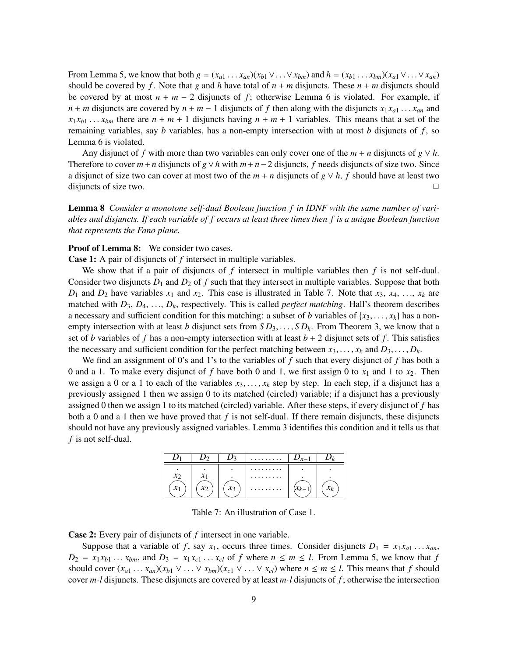From Lemma 5, we know that both  $g = (x_{a1} \dots x_{an})(x_{b1} \vee \dots \vee x_{bm})$  and  $h = (x_{b1} \dots x_{bm})(x_{a1} \vee \dots \vee x_{an})$ should be covered by f. Note that g and h have total of  $n + m$  disjuncts. These  $n + m$  disjuncts should be covered by at most  $n + m - 2$  disjuncts of f; otherwise Lemma 6 is violated. For example, if  $n + m$  disjuncts are covered by  $n + m - 1$  disjuncts of f then along with the disjuncts  $x_1 x_{a1} \ldots x_{an}$  and  $x_1 x_{b1} \ldots x_{bm}$  there are  $n + m + 1$  disjuncts having  $n + m + 1$  variables. This means that a set of the remaining variables, say *b* variables, has a non-empty intersection with at most *b* disjuncts of *f* , so Lemma 6 is violated.

Any disjunct of f with more than two variables can only cover one of the  $m + n$  disjuncts of  $g \vee h$ . Therefore to cover  $m + n$  disjuncts of  $g \vee h$  with  $m + n - 2$  disjuncts, *f* needs disjuncts of size two. Since a disjunct of size two can cover at most two of the  $m + n$  disjuncts of  $g \vee h$ ,  $f$  should have at least two disjuncts of size two. disjuncts of size two.

Lemma 8 *Consider a monotone self-dual Boolean function f in IDNF with the same number of variables and disjuncts. If each variable of f occurs at least three times then f is a unique Boolean function that represents the Fano plane.*

# Proof of Lemma 8: We consider two cases.

Case 1: A pair of disjuncts of *f* intersect in multiple variables.

We show that if a pair of disjuncts of *f* intersect in multiple variables then *f* is not self-dual. Consider two disjuncts  $D_1$  and  $D_2$  of  $f$  such that they intersect in multiple variables. Suppose that both  $D_1$  and  $D_2$  have variables  $x_1$  and  $x_2$ . This case is illustrated in Table 7. Note that  $x_3, x_4, \ldots, x_k$  are matched with *D*3, *D*4, ..., *Dk*, respectively. This is called *perfect matching*. Hall's theorem describes a necessary and sufficient condition for this matching: a subset of *b* variables of  $\{x_3, \ldots, x_k\}$  has a nonempty intersection with at least *b* disjunct sets from *S D*3,..., *S Dk*. From Theorem 3, we know that a set of *b* variables of *f* has a non-empty intersection with at least  $b + 2$  disjunct sets of *f*. This satisfies the necessary and sufficient condition for the perfect matching between  $x_3, \ldots, x_k$  and  $D_3, \ldots, D_k$ .

We find an assignment of 0's and 1's to the variables of *f* such that every disjunct of *f* has both a 0 and a 1. To make every disjunct of f have both 0 and 1, we first assign 0 to  $x_1$  and 1 to  $x_2$ . Then we assign a 0 or a 1 to each of the variables  $x_3, \ldots, x_k$  step by step. In each step, if a disjunct has a previously assigned 1 then we assign 0 to its matched (circled) variable; if a disjunct has a previously assigned 0 then we assign 1 to its matched (circled) variable. After these steps, if every disjunct of *f* has both a 0 and a 1 then we have proved that  $f$  is not self-dual. If there remain disjuncts, these disjuncts should not have any previously assigned variables. Lemma 3 identifies this condition and it tells us that *f* is not self-dual.



Table 7: An illustration of Case 1.

Case 2: Every pair of disjuncts of *f* intersect in one variable.

Suppose that a variable of *f*, say  $x_1$ , occurs three times. Consider disjuncts  $D_1 = x_1 x_{a1} \dots x_{an}$ ,  $D_2 = x_1 x_{b1} \dots x_{bm}$ , and  $D_3 = x_1 x_{c1} \dots x_{c l}$  of *f* where  $n \le m \le l$ . From Lemma 5, we know that *f* should cover  $(x_{a1} \ldots x_{an})(x_{b1} \vee \ldots \vee x_{bm})(x_{c1} \vee \ldots \vee x_{c1})$  where  $n \leq m \leq l$ . This means that *f* should cover  $m \cdot l$  disjuncts. These disjuncts are covered by at least  $m \cdot l$  disjuncts of  $f$ ; otherwise the intersection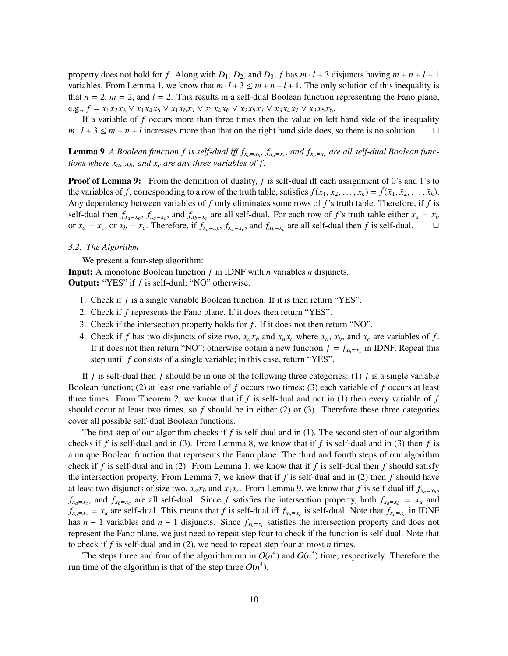property does not hold for *f*. Along with  $D_1$ ,  $D_2$ , and  $D_3$ , *f* has  $m \cdot l + 3$  disjuncts having  $m + n + l + 1$ variables. From Lemma 1, we know that  $m \cdot l + 3 \le m + n + l + 1$ . The only solution of this inequality is that  $n = 2$ ,  $m = 2$ , and  $l = 2$ . This results in a self-dual Boolean function representing the Fano plane, e.g.,  $f = x_1x_2x_3 \vee x_1x_4x_5 \vee x_1x_6x_7 \vee x_2x_4x_6 \vee x_2x_5x_7 \vee x_3x_4x_7 \vee x_3x_5x_6$ .

If a variable of *f* occurs more than three times then the value on left hand side of the inequality  $m \cdot l + 3 \le m + n + l$  increases more than that on the right hand side does, so there is no solution.

**Lemma 9** *A Boolean function f is self-dual iff*  $f_{x_a=x_b}$ ,  $f_{x_a=x_c}$ , and  $f_{x_b=x_c}$  are all self-dual Boolean func*tions where*  $x_a$ *,*  $x_b$ *, and*  $x_c$  *are any three variables of f.* 

**Proof of Lemma 9:** From the definition of duality, f is self-dual iff each assignment of 0's and 1's to the variables of *f*, corresponding to a row of the truth table, satisfies  $f(x_1, x_2, \ldots, x_k) = \overline{f}(\overline{x}_1, \overline{x}_2, \ldots, \overline{x}_k)$ . Any dependency between variables of *f* only eliminates some rows of *f*'s truth table. Therefore, if *f* is self-dual then  $f_{x_a=x_b}$ ,  $f_{x_a=x_c}$ , and  $f_{x_b=x_c}$  are all self-dual. For each row of *f*'s truth table either  $x_a = x_b$ or  $x_a = x_c$ , or  $x_b = x_c$ . Therefore, if  $f_{x_a=x_b}$ ,  $f_{x_a=x_c}$ , and  $f_{x_b=x_c}$  are all self-dual then *f* is self-dual.

#### *3.2. The Algorithm*

We present a four-step algorithm:

Input: A monotone Boolean function *f* in IDNF with *n* variables *n* disjuncts. Output: "YES" if *f* is self-dual; "NO" otherwise.

- 1. Check if *f* is a single variable Boolean function. If it is then return "YES".
- 2. Check if *f* represents the Fano plane. If it does then return "YES".
- 3. Check if the intersection property holds for *f* . If it does not then return "NO".
- 4. Check if *f* has two disjuncts of size two,  $x_a x_b$  and  $x_a x_c$  where  $x_a$ ,  $x_b$ , and  $x_c$  are variables of *f*. If it does not then return "NO"; otherwise obtain a new function  $f = f_{x_b=x_c}$  in IDNF. Repeat this step until *f* consists of a single variable; in this case, return "YES".

If *f* is self-dual then *f* should be in one of the following three categories: (1) *f* is a single variable Boolean function; (2) at least one variable of *f* occurs two times; (3) each variable of *f* occurs at least three times. From Theorem 2, we know that if *f* is self-dual and not in (1) then every variable of *f* should occur at least two times, so  $f$  should be in either  $(2)$  or  $(3)$ . Therefore these three categories cover all possible self-dual Boolean functions.

The first step of our algorithm checks if *f* is self-dual and in (1). The second step of our algorithm checks if *f* is self-dual and in (3). From Lemma 8, we know that if *f* is self-dual and in (3) then *f* is a unique Boolean function that represents the Fano plane. The third and fourth steps of our algorithm check if  $f$  is self-dual and in (2). From Lemma 1, we know that if  $f$  is self-dual then  $f$  should satisfy the intersection property. From Lemma 7, we know that if  $f$  is self-dual and in (2) then  $f$  should have at least two disjuncts of size two,  $x_a x_b$  and  $x_a x_c$ . From Lemma 9, we know that *f* is self-dual iff  $f_{x_a=x_b}$ ,  $f_{x_a=x_c}$ , and  $f_{x_b=x_c}$  are all self-dual. Since *f* satisfies the intersection property, both  $f_{x_a=x_b} = x_a$  and  $f_{x_a=x_c} = x_a$  are self-dual. This means that *f* is self-dual iff  $f_{x_b=x_c}$  is self-dual. Note that  $f_{x_b=x_c}$  in IDNF has  $n-1$  variables and  $n-1$  disjuncts. Since  $f_{x_b=x_c}$  satisfies the intersection property and does not represent the Fano plane, we just need to repeat step four to check if the function is self-dual. Note that to check if *f* is self-dual and in (2), we need to repeat step four at most *n* times.

The steps three and four of the algorithm run in  $O(n^4)$  and  $O(n^3)$  time, respectively. Therefore the run time of the algorithm is that of the step three  $O(n^4)$ .